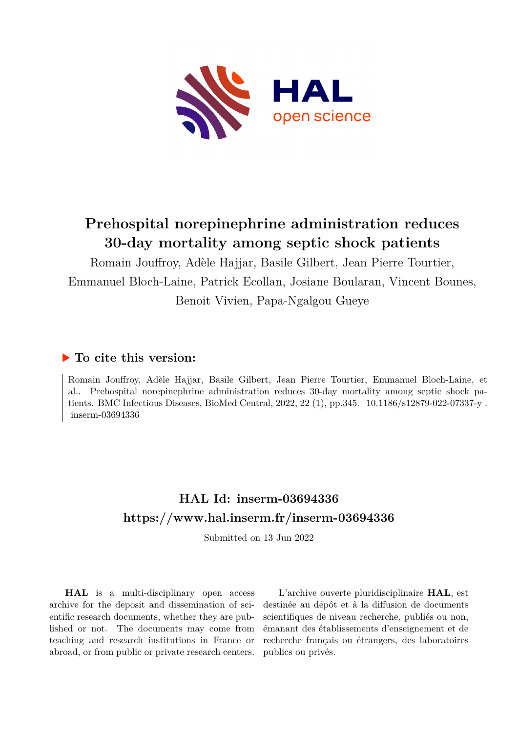

# **Prehospital norepinephrine administration reduces 30-day mortality among septic shock patients**

Romain Jouffroy, Adèle Hajjar, Basile Gilbert, Jean Pierre Tourtier, Emmanuel Bloch-Laine, Patrick Ecollan, Josiane Boularan, Vincent Bounes, Benoit Vivien, Papa-Ngalgou Gueye

# **To cite this version:**

Romain Jouffroy, Adèle Hajjar, Basile Gilbert, Jean Pierre Tourtier, Emmanuel Bloch-Laine, et al.. Prehospital norepinephrine administration reduces 30-day mortality among septic shock patients. BMC Infectious Diseases, BioMed Central, 2022, 22 (1), pp.345. 10.1186/s12879-022-07337-y. inserm-03694336

# **HAL Id: inserm-03694336 <https://www.hal.inserm.fr/inserm-03694336>**

Submitted on 13 Jun 2022

**HAL** is a multi-disciplinary open access archive for the deposit and dissemination of scientific research documents, whether they are published or not. The documents may come from teaching and research institutions in France or abroad, or from public or private research centers.

L'archive ouverte pluridisciplinaire **HAL**, est destinée au dépôt et à la diffusion de documents scientifiques de niveau recherche, publiés ou non, émanant des établissements d'enseignement et de recherche français ou étrangers, des laboratoires publics ou privés.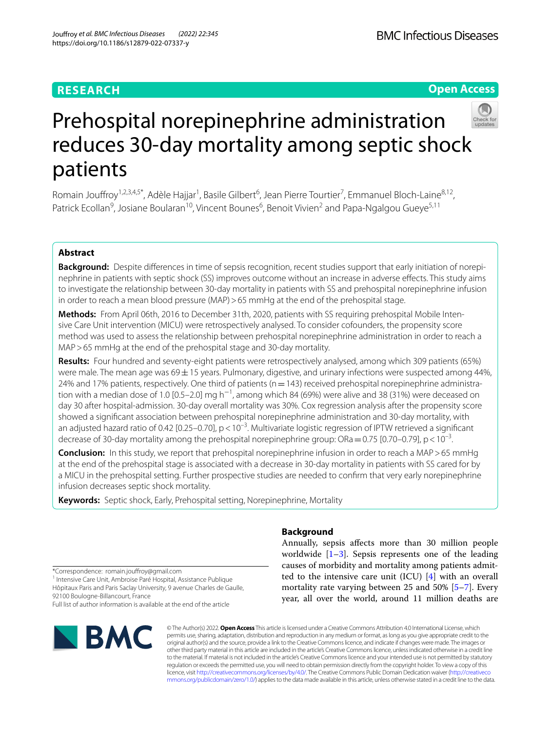## **RESEARCH**

**Open Access**

# Prehospital norepinephrine administration reduces 30-day mortality among septic shock patients

Romain Jouffroy<sup>1,2,3,4,5\*</sup>, Adèle Hajjar<sup>1</sup>, Basile Gilbert<sup>6</sup>, Jean Pierre Tourtier<sup>7</sup>, Emmanuel Bloch-Laine<sup>8,12</sup>, Patrick Ecollan<sup>9</sup>, Josiane Boularan<sup>10</sup>, Vincent Bounes<sup>6</sup>, Benoit Vivien<sup>2</sup> and Papa-Ngalgou Gueye<sup>5,11</sup>

## **Abstract**

Background: Despite differences in time of sepsis recognition, recent studies support that early initiation of norepinephrine in patients with septic shock (SS) improves outcome without an increase in adverse efects. This study aims to investigate the relationship between 30-day mortality in patients with SS and prehospital norepinephrine infusion in order to reach a mean blood pressure (MAP) > 65 mmHg at the end of the prehospital stage.

**Methods:** From April 06th, 2016 to December 31th, 2020, patients with SS requiring prehospital Mobile Inten‑ sive Care Unit intervention (MICU) were retrospectively analysed. To consider cofounders, the propensity score method was used to assess the relationship between prehospital norepinephrine administration in order to reach a MAP>65 mmHg at the end of the prehospital stage and 30-day mortality.

**Results:** Four hundred and seventy-eight patients were retrospectively analysed, among which 309 patients (65%) were male. The mean age was 69 $\pm$ 15 years. Pulmonary, digestive, and urinary infections were suspected among 44%, 24% and 17% patients, respectively. One third of patients ( $n=143$ ) received prehospital norepinephrine administration with a median dose of 1.0 [0.5–2.0] mg h<sup>-1</sup>, among which 84 (69%) were alive and 38 (31%) were deceased on day 30 after hospital-admission. 30-day overall mortality was 30%. Cox regression analysis after the propensity score showed a signifcant association between prehospital norepinephrine administration and 30-day mortality, with an adjusted hazard ratio of 0.42 [0.25–0.70],  $p < 10^{-3}$ . Multivariate logistic regression of IPTW retrieved a significant decrease of 30-day mortality among the prehospital norepinephrine group: ORa = 0.75 [0.70–0.79], p < 10<sup>-3</sup>.

**Conclusion:** In this study, we report that prehospital norepinephrine infusion in order to reach a MAP > 65 mmHg at the end of the prehospital stage is associated with a decrease in 30-day mortality in patients with SS cared for by a MICU in the prehospital setting. Further prospective studies are needed to confrm that very early norepinephrine infusion decreases septic shock mortality.

**Keywords:** Septic shock, Early, Prehospital setting, Norepinephrine, Mortality

\*Correspondence: romain.joufroy@gmail.com

<sup>1</sup> Intensive Care Unit, Ambroise Paré Hospital, Assistance Publique Hôpitaux Paris and Paris Saclay University, 9 avenue Charles de Gaulle, 92100 Boulogne-Billancourt, France

Full list of author information is available at the end of the article



## **Background**

Annually, sepsis afects more than 30 million people worldwide  $[1-3]$ . Sepsis represents one of the leading causes of morbidity and mortality among patients admitted to the intensive care unit (ICU) [4] with an overall mortality rate varying between 25 and 50% [5–7]. Every year, all over the world, around 11 million deaths are

© The Author(s) 2022. **Open Access** This article is licensed under a Creative Commons Attribution 4.0 International License, which permits use, sharing, adaptation, distribution and reproduction in any medium or format, as long as you give appropriate credit to the original author(s) and the source, provide a link to the Creative Commons licence, and indicate if changes were made. The images or other third party material in this article are included in the article's Creative Commons licence, unless indicated otherwise in a credit line to the material. If material is not included in the article's Creative Commons licence and your intended use is not permitted by statutory regulation or exceeds the permitted use, you will need to obtain permission directly from the copyright holder. To view a copy of this licence, visit [http://creativecommons.org/licenses/by/4.0/.](http://creativecommons.org/licenses/by/4.0/) The Creative Commons Public Domain Dedication waiver ([http://creativeco](http://creativecommons.org/publicdomain/zero/1.0/) [mmons.org/publicdomain/zero/1.0/](http://creativecommons.org/publicdomain/zero/1.0/)) applies to the data made available in this article, unless otherwise stated in a credit line to the data.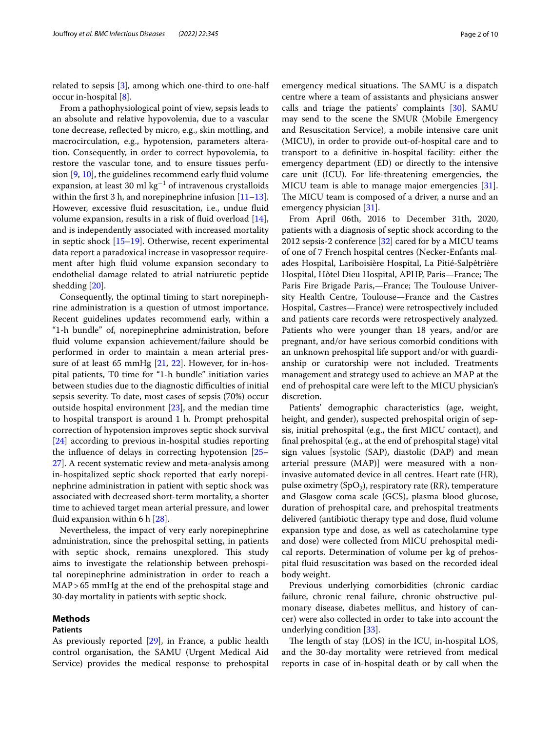related to sepsis [3], among which one-third to one-half occur in-hospital [8].

From a pathophysiological point of view, sepsis leads to an absolute and relative hypovolemia, due to a vascular tone decrease, refected by micro, e.g., skin mottling, and macrocirculation, e.g., hypotension, parameters alteration. Consequently, in order to correct hypovolemia, to restore the vascular tone, and to ensure tissues perfusion  $[9, 10]$ , the guidelines recommend early fluid volume expansion, at least 30 ml  $\text{kg}^{-1}$  of intravenous crystalloids within the first 3 h, and norepinephrine infusion  $[11–13]$ . However, excessive fluid resuscitation, i.e., undue fluid volume expansion, results in a risk of fuid overload [14], and is independently associated with increased mortality in septic shock [15–19]. Otherwise, recent experimental data report a paradoxical increase in vasopressor requirement after high fuid volume expansion secondary to endothelial damage related to atrial natriuretic peptide shedding [20].

Consequently, the optimal timing to start norepinephrine administration is a question of utmost importance. Recent guidelines updates recommend early, within a "1-h bundle" of, norepinephrine administration, before fuid volume expansion achievement/failure should be performed in order to maintain a mean arterial pressure of at least 65 mmHg [21, 22]. However, for in-hospital patients, T0 time for "1-h bundle" initiation varies between studies due to the diagnostic difficulties of initial sepsis severity. To date, most cases of sepsis (70%) occur outside hospital environment [23], and the median time to hospital transport is around 1 h. Prompt prehospital correction of hypotension improves septic shock survival [24] according to previous in-hospital studies reporting the infuence of delays in correcting hypotension [25– 27]. A recent systematic review and meta-analysis among in-hospitalized septic shock reported that early norepinephrine administration in patient with septic shock was associated with decreased short-term mortality, a shorter time to achieved target mean arterial pressure, and lower fuid expansion within 6 h [28].

Nevertheless, the impact of very early norepinephrine administration, since the prehospital setting, in patients with septic shock, remains unexplored. This study aims to investigate the relationship between prehospital norepinephrine administration in order to reach a MAP>65 mmHg at the end of the prehospital stage and 30-day mortality in patients with septic shock.

#### **Methods**

#### **Patients**

emergency medical situations. The SAMU is a dispatch centre where a team of assistants and physicians answer calls and triage the patients' complaints [30]. SAMU may send to the scene the SMUR (Mobile Emergency and Resuscitation Service), a mobile intensive care unit (MICU), in order to provide out-of-hospital care and to transport to a defnitive in-hospital facility: either the emergency department (ED) or directly to the intensive care unit (ICU). For life-threatening emergencies, the MICU team is able to manage major emergencies [31]. The MICU team is composed of a driver, a nurse and an emergency physician [31].

From April 06th, 2016 to December 31th, 2020, patients with a diagnosis of septic shock according to the 2012 sepsis-2 conference [32] cared for by a MICU teams of one of 7 French hospital centres (Necker-Enfants malades Hospital, Lariboisière Hospital, La Pitié-Salpêtrière Hospital, Hôtel Dieu Hospital, APHP, Paris—France; The Paris Fire Brigade Paris,-France; The Toulouse University Health Centre, Toulouse—France and the Castres Hospital, Castres—France) were retrospectively included and patients care records were retrospectively analyzed. Patients who were younger than 18 years, and/or are pregnant, and/or have serious comorbid conditions with an unknown prehospital life support and/or with guardianship or curatorship were not included. Treatments management and strategy used to achieve an MAP at the end of prehospital care were left to the MICU physician's discretion.

Patients' demographic characteristics (age, weight, height, and gender), suspected prehospital origin of sepsis, initial prehospital (e.g., the frst MICU contact), and fnal prehospital (e.g., at the end of prehospital stage) vital sign values [systolic (SAP), diastolic (DAP) and mean arterial pressure (MAP)] were measured with a noninvasive automated device in all centres. Heart rate (HR), pulse oximetry (SpO<sub>2</sub>), respiratory rate (RR), temperature and Glasgow coma scale (GCS), plasma blood glucose, duration of prehospital care, and prehospital treatments delivered (antibiotic therapy type and dose, fuid volume expansion type and dose, as well as catecholamine type and dose) were collected from MICU prehospital medical reports. Determination of volume per kg of prehospital fuid resuscitation was based on the recorded ideal body weight.

Previous underlying comorbidities (chronic cardiac failure, chronic renal failure, chronic obstructive pulmonary disease, diabetes mellitus, and history of cancer) were also collected in order to take into account the underlying condition [33].

The length of stay (LOS) in the ICU, in-hospital LOS, and the 30-day mortality were retrieved from medical reports in case of in-hospital death or by call when the

As previously reported [29], in France, a public health control organisation, the SAMU (Urgent Medical Aid Service) provides the medical response to prehospital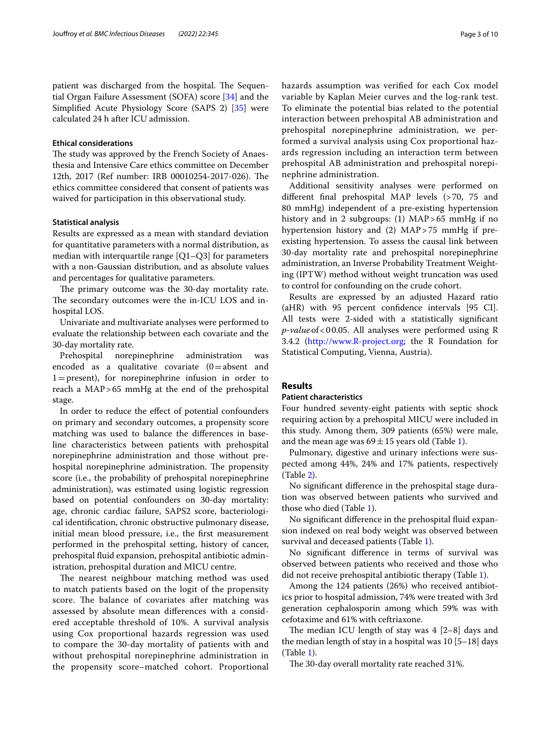patient was discharged from the hospital. The Sequential Organ Failure Assessment (SOFA) score [34] and the Simplifed Acute Physiology Score (SAPS 2) [35] were calculated 24 h after ICU admission.

#### **Ethical considerations**

The study was approved by the French Society of Anaesthesia and Intensive Care ethics committee on December 12th, 2017 (Ref number: IRB 00010254-2017-026). The ethics committee considered that consent of patients was waived for participation in this observational study.

#### **Statistical analysis**

Results are expressed as a mean with standard deviation for quantitative parameters with a normal distribution, as median with interquartile range [Q1–Q3] for parameters with a non-Gaussian distribution, and as absolute values and percentages for qualitative parameters.

The primary outcome was the 30-day mortality rate. The secondary outcomes were the in-ICU LOS and inhospital LOS.

Univariate and multivariate analyses were performed to evaluate the relationship between each covariate and the 30-day mortality rate.

Prehospital norepinephrine administration was encoded as a qualitative covariate  $(0=absent$  and  $1 =$  present), for norepinephrine infusion in order to reach a MAP>65 mmHg at the end of the prehospital stage.

In order to reduce the efect of potential confounders on primary and secondary outcomes, a propensity score matching was used to balance the diferences in baseline characteristics between patients with prehospital norepinephrine administration and those without prehospital norepinephrine administration. The propensity score (i.e., the probability of prehospital norepinephrine administration), was estimated using logistic regression based on potential confounders on 30-day mortality: age, chronic cardiac failure, SAPS2 score, bacteriological identifcation, chronic obstructive pulmonary disease, initial mean blood pressure, i.e., the frst measurement performed in the prehospital setting, history of cancer, prehospital fuid expansion, prehospital antibiotic administration, prehospital duration and MICU centre.

The nearest neighbour matching method was used to match patients based on the logit of the propensity score. The balance of covariates after matching was assessed by absolute mean diferences with a considered acceptable threshold of 10%. A survival analysis using Cox proportional hazards regression was used to compare the 30-day mortality of patients with and without prehospital norepinephrine administration in the propensity score–matched cohort. Proportional hazards assumption was verifed for each Cox model variable by Kaplan Meier curves and the log-rank test. To eliminate the potential bias related to the potential interaction between prehospital AB administration and prehospital norepinephrine administration, we performed a survival analysis using Cox proportional hazards regression including an interaction term between prehospital AB administration and prehospital norepinephrine administration.

Additional sensitivity analyses were performed on diferent fnal prehospital MAP levels (>70, 75 and 80 mmHg) independent of a pre-existing hypertension history and in 2 subgroups: (1) MAP > 65 mmHg if no hypertension history and (2) MAP>75 mmHg if preexisting hypertension. To assess the causal link between 30-day mortality rate and prehospital norepinephrine administration, an Inverse Probability Treatment Weighting (IPTW) method without weight truncation was used to control for confounding on the crude cohort.

Results are expressed by an adjusted Hazard ratio (aHR) with 95 percent confdence intervals [95 CI]. All tests were 2-sided with a statistically signifcant *p-value*of<00.05. All analyses were performed using R 3.4.2 (<http://www.R-project.org>; the R Foundation for Statistical Computing, Vienna, Austria).

## **Results**

## **Patient characteristics**

Four hundred seventy-eight patients with septic shock requiring action by a prehospital MICU were included in this study. Among them, 309 patients (65%) were male, and the mean age was  $69 \pm 15$  years old (Table 1).

Pulmonary, digestive and urinary infections were suspected among 44%, 24% and 17% patients, respectively (Table 2).

No signifcant diference in the prehospital stage duration was observed between patients who survived and those who died (Table 1).

No signifcant diference in the prehospital fuid expansion indexed on real body weight was observed between survival and deceased patients (Table 1).

No signifcant diference in terms of survival was observed between patients who received and those who did not receive prehospital antibiotic therapy (Table 1).

Among the 124 patients (26%) who received antibiotics prior to hospital admission, 74% were treated with 3rd generation cephalosporin among which 59% was with cefotaxime and 61% with ceftriaxone.

The median ICU length of stay was  $4$  [2–8] days and the median length of stay in a hospital was 10 [5–18] days (Table 1).

The 30-day overall mortality rate reached 31%.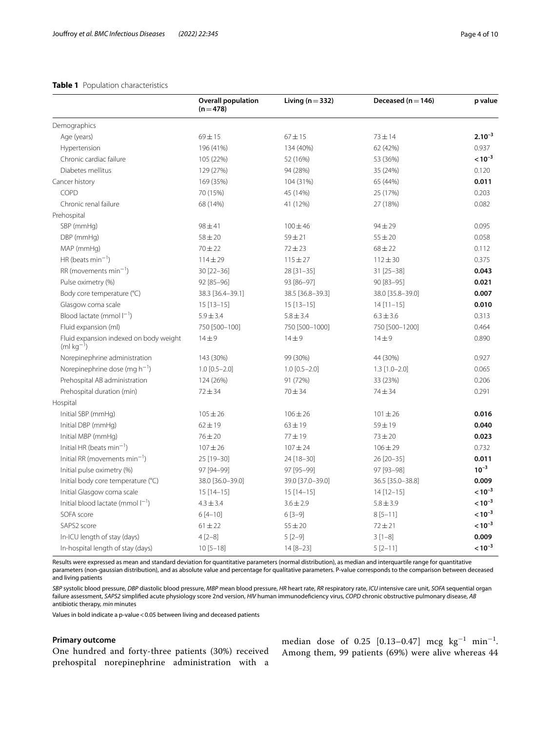## **Table 1** Population characteristics

|                                                        | <b>Overall population</b><br>$(n=478)$ | Living ( $n = 332$ ) | Deceased ( $n = 146$ ) | p value     |
|--------------------------------------------------------|----------------------------------------|----------------------|------------------------|-------------|
| Demographics                                           |                                        |                      |                        |             |
| Age (years)                                            | $69 + 15$                              | $67 + 15$            | $73 + 14$              | $2.10^{-3}$ |
| Hypertension                                           | 196 (41%)                              | 134 (40%)            | 62 (42%)               | 0.937       |
| Chronic cardiac failure                                | 105 (22%)                              | 52 (16%)             | 53 (36%)               | $< 10^{-3}$ |
| Diabetes mellitus                                      | 129 (27%)                              | 94 (28%)             | 35 (24%)               | 0.120       |
| Cancer history                                         | 169 (35%)                              | 104 (31%)            | 65 (44%)               | 0.011       |
| COPD                                                   | 70 (15%)                               | 45 (14%)             | 25 (17%)               | 0.203       |
| Chronic renal failure                                  | 68 (14%)                               | 41 (12%)             | 27 (18%)               | 0.082       |
| Prehospital                                            |                                        |                      |                        |             |
| SBP (mmHg)                                             | $98 + 41$                              | $100 \pm 46$         | $94 \pm 29$            | 0.095       |
| DBP (mmHg)                                             | $58 + 20$                              | $59 + 21$            | $55 \pm 20$            | 0.058       |
| MAP (mmHg)                                             | $70 + 22$                              | $72 + 23$            | $68 \pm 22$            | 0.112       |
| HR (beats min <sup>-1</sup> )                          | $114 \pm 29$                           | $115 \pm 27$         | $112 \pm 30$           | 0.375       |
| $RR$ (movements min <sup>-1</sup> )                    | $30 [22 - 36]$                         | $28 [31 - 35]$       | 31 [25-38]             | 0.043       |
| Pulse oximetry (%)                                     | 92 [85-96]                             | 93 [86-97]           | 90 [83-95]             | 0.021       |
| Body core temperature (°C)                             | 38.3 [36.4-39.1]                       | 38.5 [36.8-39.3]     | 38.0 [35.8-39.0]       | 0.007       |
| Glasgow coma scale                                     | $15[13-15]$                            | $15[13-15]$          | $14$ [11-15]           | 0.010       |
| Blood lactate (mmol $I^{-1}$ )                         | $5.9 \pm 3.4$                          | $5.8 \pm 3.4$        | $6.3 \pm 3.6$          | 0.313       |
| Fluid expansion (ml)                                   | 750 [500-100]                          | 750 [500-1000]       | 750 [500-1200]         | 0.464       |
| Fluid expansion indexed on body weight<br>$(mkq^{-1})$ | $14 + 9$                               | $14 + 9$             | $14 + 9$               | 0.890       |
| Norepinephrine administration                          | 143 (30%)                              | 99 (30%)             | 44 (30%)               | 0.927       |
| Norepinephrine dose (mg $h^{-1}$ )                     | $1.0$ [0.5-2.0]                        | $1.0$ [0.5-2.0]      | $1.3$ [ $1.0 - 2.0$ ]  | 0.065       |
| Prehospital AB administration                          | 124 (26%)                              | 91 (72%)             | 33 (23%)               | 0.206       |
| Prehospital duration (min)                             | $72 + 34$                              | $70 + 34$            | 74 ± 34                | 0.291       |
| Hospital                                               |                                        |                      |                        |             |
| Initial SBP (mmHg)                                     | $105 \pm 26$                           | $106 \pm 26$         | $101 \pm 26$           | 0.016       |
| Initial DBP (mmHq)                                     | $62 \pm 19$                            | $63 \pm 19$          | $59 + 19$              | 0.040       |
| Initial MBP (mmHq)                                     | $76 \pm 20$                            | $77 + 19$            | $73 + 20$              | 0.023       |
| Initial HR (beats min <sup>-1</sup> )                  | $107 + 26$                             | $107 + 24$           | $106 \pm 29$           | 0.732       |
| Initial RR (movements $min^{-1}$ )                     | 25 [19-30]                             | 24 [18-30]           | 26 [20-35]             | 0.011       |
| Initial pulse oximetry (%)                             | 97 [94-99]                             | 97 [95-99]           | 97 [93-98]             | $10^{-3}$   |
| Initial body core temperature (°C)                     | 38.0 [36.0-39.0]                       | 39.0 [37.0-39.0]     | 36.5 [35.0-38.8]       | 0.009       |
| Initial Glasgow coma scale                             | $15[14-15]$                            | $15[14-15]$          | $14$ [12-15]           | $< 10^{-3}$ |
| Initial blood lactate (mmol $ ^{-1}$ )                 | $4.3 \pm 3.4$                          | $3.6 \pm 2.9$        | $5.8 \pm 3.9$          | $< 10^{-3}$ |
| SOFA score                                             | $6[4-10]$                              | $6[3-9]$             | $8[5-11]$              | $< 10^{-3}$ |
| SAPS2 score                                            | $61 \pm 22$                            | $55 \pm 20$          | $72 + 21$              | $< 10^{-3}$ |
| In-ICU length of stay (days)                           | $4[2-8]$                               | $5[2-9]$             | $3[1-8]$               | 0.009       |
| In-hospital length of stay (days)                      | $10[5 - 18]$                           | $14 [8 - 23]$        | $5[2-11]$              | $< 10^{-3}$ |

Results were expressed as mean and standard deviation for quantitative parameters (normal distribution), as median and interquartile range for quantitative parameters (non-gaussian distribution), and as absolute value and percentage for qualitative parameters. P-value corresponds to the comparison between deceased and living patients

*SBP* systolic blood pressure, *DBP* diastolic blood pressure, *MBP* mean blood pressure, *HR* heart rate, *RR* respiratory rate, *ICU* intensive care unit, *SOFA* sequential organ failure assessment, *SAPS2* simplifed acute physiology score 2nd version, *HIV* human immunodefciency virus, *COPD* chronic obstructive pulmonary disease, *AB* antibiotic therapy, *min* minutes

Values in bold indicate a p-value < 0.05 between living and deceased patients

## **Primary outcome**

One hundred and forty-three patients (30%) received prehospital norepinephrine administration with a

median dose of 0.25 [0.13–0.47] mcg  $\text{kg}^{-1}$  min<sup>-1</sup>. Among them, 99 patients (69%) were alive whereas 44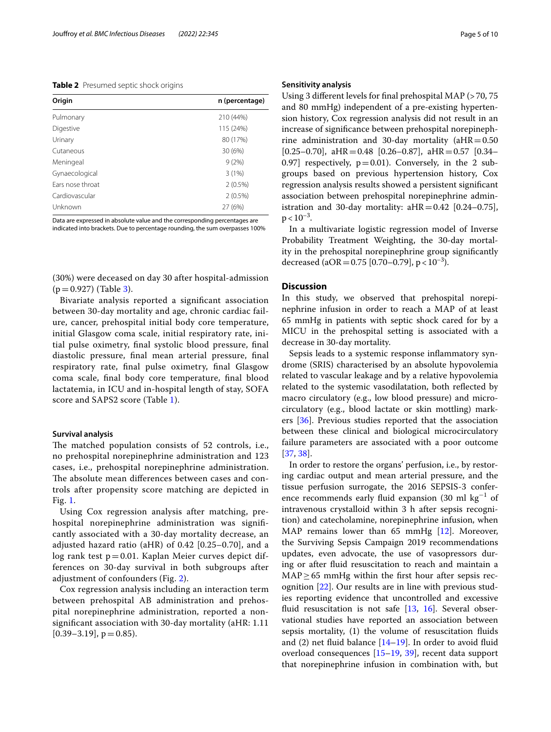#### **Table 2** Presumed septic shock origins

| Origin           | n (percentage) |
|------------------|----------------|
| Pulmonary        | 210 (44%)      |
| Digestive        | 115 (24%)      |
| Urinary          | 80 (17%)       |
| Cutaneous        | 30 (6%)        |
| Meningeal        | 9(2%)          |
| Gynaecological   | 3(1%)          |
| Fars nose throat | $2(0.5\%)$     |
| Cardiovascular   | $2(0.5\%)$     |
| Unknown          | 27 (6%)        |

Data are expressed in absolute value and the corresponding percentages are indicated into brackets. Due to percentage rounding, the sum overpasses 100%

(30%) were deceased on day 30 after hospital-admission  $(p=0.927)$  (Table 3).

Bivariate analysis reported a signifcant association between 30-day mortality and age, chronic cardiac failure, cancer, prehospital initial body core temperature, initial Glasgow coma scale, initial respiratory rate, initial pulse oximetry, fnal systolic blood pressure, fnal diastolic pressure, fnal mean arterial pressure, fnal respiratory rate, fnal pulse oximetry, fnal Glasgow coma scale, fnal body core temperature, fnal blood lactatemia, in ICU and in-hospital length of stay, SOFA score and SAPS2 score (Table 1).

#### **Survival analysis**

The matched population consists of 52 controls, i.e., no prehospital norepinephrine administration and 123 cases, i.e., prehospital norepinephrine administration. The absolute mean differences between cases and controls after propensity score matching are depicted in Fig. 1.

Using Cox regression analysis after matching, prehospital norepinephrine administration was signifcantly associated with a 30-day mortality decrease, an adjusted hazard ratio (aHR) of 0.42 [0.25–0.70], and a log rank test  $p=0.01$ . Kaplan Meier curves depict differences on 30-day survival in both subgroups after adjustment of confounders (Fig. 2).

Cox regression analysis including an interaction term between prehospital AB administration and prehospital norepinephrine administration, reported a nonsignifcant association with 30-day mortality (aHR: 1.11  $[0.39-3.19]$ ,  $p = 0.85$ ).

#### **Sensitivity analysis**

Using 3 diferent levels for fnal prehospital MAP (>70, 75 and 80 mmHg) independent of a pre-existing hypertension history, Cox regression analysis did not result in an increase of signifcance between prehospital norepinephrine administration and 30-day mortality ( $aHR = 0.50$  $[0.25-0.70]$ , aHR = 0.48  $[0.26-0.87]$ , aHR = 0.57  $[0.34-$ 0.97] respectively,  $p=0.01$ ). Conversely, in the 2 subgroups based on previous hypertension history, Cox regression analysis results showed a persistent signifcant association between prehospital norepinephrine administration and 30-day mortality:  $aHR = 0.42$  [0.24-0.75],  $p < 10^{-3}$ .

In a multivariate logistic regression model of Inverse Probability Treatment Weighting, the 30-day mortality in the prehospital norepinephrine group signifcantly decreased (aOR = 0.75 [0.70–0.79],  $p < 10^{-3}$ ).

## **Discussion**

In this study, we observed that prehospital norepinephrine infusion in order to reach a MAP of at least 65 mmHg in patients with septic shock cared for by a MICU in the prehospital setting is associated with a decrease in 30-day mortality.

Sepsis leads to a systemic response infammatory syndrome (SRIS) characterised by an absolute hypovolemia related to vascular leakage and by a relative hypovolemia related to the systemic vasodilatation, both refected by macro circulatory (e.g., low blood pressure) and microcirculatory (e.g., blood lactate or skin mottling) markers [36]. Previous studies reported that the association between these clinical and biological microcirculatory failure parameters are associated with a poor outcome [37, 38].

In order to restore the organs' perfusion, i.e., by restoring cardiac output and mean arterial pressure, and the tissue perfusion surrogate, the 2016 SEPSIS-3 conference recommends early fluid expansion (30 ml  $kg^{-1}$  of intravenous crystalloid within 3 h after sepsis recognition) and catecholamine, norepinephrine infusion, when MAP remains lower than 65 mmHg [12]. Moreover, the Surviving Sepsis Campaign 2019 recommendations updates, even advocate, the use of vasopressors during or after fuid resuscitation to reach and maintain a  $MAP \geq 65$  mmHg within the first hour after sepsis recognition [22]. Our results are in line with previous studies reporting evidence that uncontrolled and excessive fluid resuscitation is not safe  $[13, 16]$ . Several observational studies have reported an association between sepsis mortality, (1) the volume of resuscitation fuids and (2) net fluid balance  $[14–19]$ . In order to avoid fluid overload consequences [15–19, 39], recent data support that norepinephrine infusion in combination with, but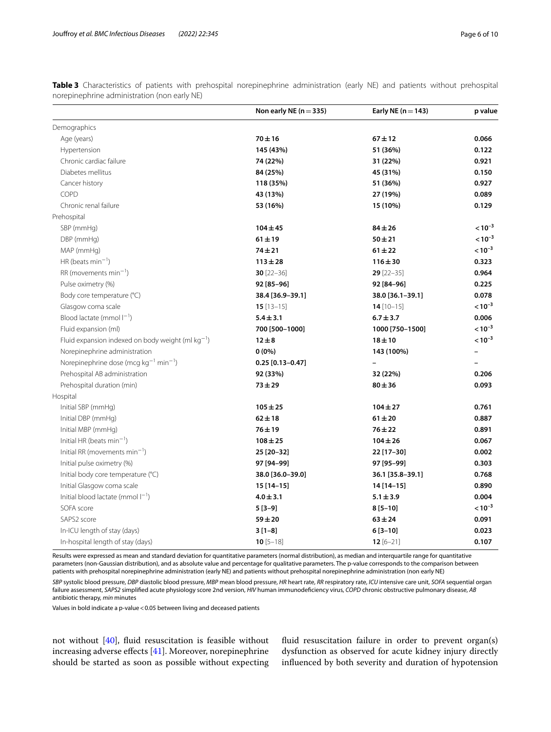|                                                        | Non early NE ( $n = 335$ ) | Early NE $(n=143)$ | p value     |
|--------------------------------------------------------|----------------------------|--------------------|-------------|
| Demographics                                           |                            |                    |             |
| Age (years)                                            | $70 + 16$                  | $67 + 12$          | 0.066       |
| Hypertension                                           | 145 (43%)                  | 51 (36%)           | 0.122       |
| Chronic cardiac failure                                | 74 (22%)                   | 31 (22%)           | 0.921       |
| Diabetes mellitus                                      | 84 (25%)                   | 45 (31%)           | 0.150       |
| Cancer history                                         | 118 (35%)                  | 51 (36%)           | 0.927       |
| COPD                                                   | 43 (13%)                   | 27 (19%)           | 0.089       |
| Chronic renal failure                                  | 53 (16%)                   | 15 (10%)           | 0.129       |
| Prehospital                                            |                            |                    |             |
| SBP (mmHg)                                             | $104 \pm 45$               | $84 + 26$          | $< 10^{-3}$ |
| DBP (mmHg)                                             | $61 \pm 19$                | $50 + 21$          | $< 10^{-3}$ |
| MAP (mmHg)                                             | $74 + 21$                  | $61 + 22$          | $< 10^{-3}$ |
| HR (beats min <sup>-1</sup> )                          | $113 \pm 28$               | $116 + 30$         | 0.323       |
| $RR$ (movements min <sup>-1</sup> )                    | $30$ [22-36]               | $29$ [22-35]       | 0.964       |
| Pulse oximetry (%)                                     | 92 [85-96]                 | 92 [84-96]         | 0.225       |
| Body core temperature (°C)                             | 38.4 [36.9-39.1]           | 38.0 [36.1-39.1]   | 0.078       |
| Glasgow coma scale                                     | $15$ [13-15]               | $14$ [10-15]       | $< 10^{-3}$ |
| Blood lactate (mmol $ ^{-1}$ )                         | $5.4 \pm 3.1$              | $6.7 \pm 3.7$      | 0.006       |
| Fluid expansion (ml)                                   | 700 [500-1000]             | 1000 [750-1500]    | $< 10^{-3}$ |
| Fluid expansion indexed on body weight (ml $kg^{-1}$ ) | $12 \pm 8$                 | $18 + 10$          | $< 10^{-3}$ |
| Norepinephrine administration                          | $0(0\%)$                   | 143 (100%)         |             |
| Norepinephrine dose (mcg $kg^{-1}$ min <sup>-1</sup> ) | $0.25$ [0.13-0.47]         |                    |             |
| Prehospital AB administration                          | 92 (33%)                   | 32 (22%)           | 0.206       |
| Prehospital duration (min)                             | $73 + 29$                  | $80 + 36$          | 0.093       |
| Hospital                                               |                            |                    |             |
| Initial SBP (mmHg)                                     | $105 \pm 25$               | $104 \pm 27$       | 0.761       |
| Initial DBP (mmHq)                                     | $62 \pm 18$                | $61 \pm 20$        | 0.887       |
| Initial MBP (mmHg)                                     | $76 + 19$                  | $76 + 22$          | 0.891       |
| Initial HR (beats min <sup>-1</sup> )                  | $108 + 25$                 | $104 \pm 26$       | 0.067       |
| Initial RR (movements $min^{-1}$ )                     | 25 [20-32]                 | 22 [17-30]         | 0.002       |
| Initial pulse oximetry (%)                             | 97 [94-99]                 | 97 [95-99]         | 0.303       |
| Initial body core temperature (°C)                     | 38.0 [36.0-39.0]           | 36.1 [35.8-39.1]   | 0.768       |
| Initial Glasgow coma scale                             | $15[14-15]$                | 14 [14-15]         | 0.890       |
| Initial blood lactate (mmol $I^{-1}$ )                 | $4.0 \pm 3.1$              | $5.1 \pm 3.9$      | 0.004       |
| SOFA score                                             | $5[3-9]$                   | $8[5-10]$          | $< 10^{-3}$ |
| SAPS2 score                                            | $59 + 20$                  | $63 + 24$          | 0.091       |
| In-ICU length of stay (days)                           | $3[1-8]$                   | $6[3-10]$          | 0.023       |
| In-hospital length of stay (days)                      | $10$ [5-18]                | $12[6-21]$         | 0.107       |

**Table 3** Characteristics of patients with prehospital norepinephrine administration (early NE) and patients without prehospital norepinephrine administration (non early NE)

Results were expressed as mean and standard deviation for quantitative parameters (normal distribution), as median and interquartile range for quantitative parameters (non-Gaussian distribution), and as absolute value and percentage for qualitative parameters. The p-value corresponds to the comparison between patients with prehospital norepinephrine administration (early NE) and patients without prehospital norepinephrine administration (non early NE)

*SBP* systolic blood pressure, *DBP* diastolic blood pressure, *MBP* mean blood pressure, *HR* heart rate, *RR* respiratory rate, *ICU* intensive care unit, *SOFA* sequential organ failure assessment, *SAPS2* simplifed acute physiology score 2nd version, *HIV* human immunodefciency virus, *COPD* chronic obstructive pulmonary disease, *AB* antibiotic therapy, *min* minutes

Values in bold indicate a p-value<0.05 between living and deceased patients

not without [40], fuid resuscitation is feasible without increasing adverse efects [41]. Moreover, norepinephrine should be started as soon as possible without expecting fluid resuscitation failure in order to prevent organ(s) dysfunction as observed for acute kidney injury directly infuenced by both severity and duration of hypotension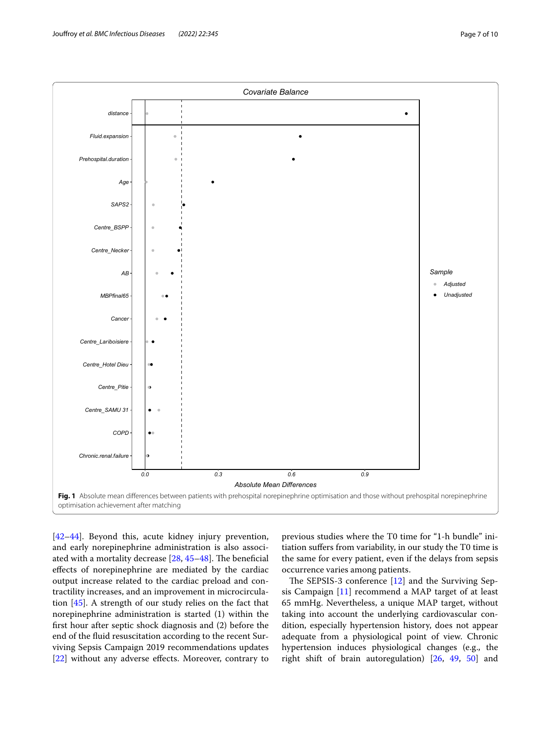

[42–44]. Beyond this, acute kidney injury prevention, and early norepinephrine administration is also associated with a mortality decrease  $[28, 45-48]$ . The beneficial efects of norepinephrine are mediated by the cardiac output increase related to the cardiac preload and contractility increases, and an improvement in microcirculation [45]. A strength of our study relies on the fact that norepinephrine administration is started (1) within the frst hour after septic shock diagnosis and (2) before the end of the fuid resuscitation according to the recent Surviving Sepsis Campaign 2019 recommendations updates [22] without any adverse effects. Moreover, contrary to

previous studies where the T0 time for "1-h bundle" initiation sufers from variability, in our study the T0 time is the same for every patient, even if the delays from sepsis occurrence varies among patients.

The SEPSIS-3 conference  $[12]$  and the Surviving Sepsis Campaign [11] recommend a MAP target of at least 65 mmHg. Nevertheless, a unique MAP target, without taking into account the underlying cardiovascular condition, especially hypertension history, does not appear adequate from a physiological point of view. Chronic hypertension induces physiological changes (e.g., the right shift of brain autoregulation) [26, 49, 50] and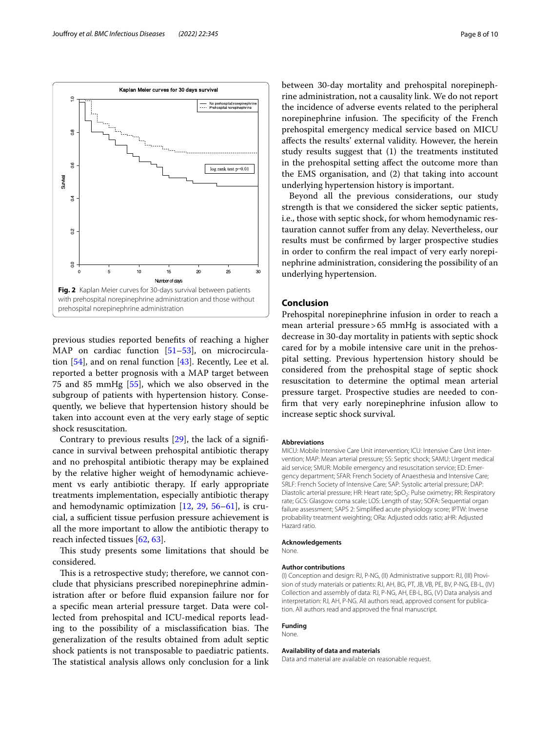

previous studies reported benefts of reaching a higher MAP on cardiac function  $[51–53]$ , on microcirculation [54], and on renal function [43]. Recently, Lee et al. reported a better prognosis with a MAP target between 75 and 85 mmHg [55], which we also observed in the subgroup of patients with hypertension history. Consequently, we believe that hypertension history should be taken into account even at the very early stage of septic shock resuscitation.

Contrary to previous results [29], the lack of a signifcance in survival between prehospital antibiotic therapy and no prehospital antibiotic therapy may be explained by the relative higher weight of hemodynamic achievement vs early antibiotic therapy. If early appropriate treatments implementation, especially antibiotic therapy and hemodynamic optimization [12, 29, 56–61], is crucial, a sufficient tissue perfusion pressure achievement is all the more important to allow the antibiotic therapy to reach infected tissues [62, 63].

This study presents some limitations that should be considered.

This is a retrospective study; therefore, we cannot conclude that physicians prescribed norepinephrine administration after or before fuid expansion failure nor for a specifc mean arterial pressure target. Data were collected from prehospital and ICU-medical reports leading to the possibility of a misclassification bias. The generalization of the results obtained from adult septic shock patients is not transposable to paediatric patients. The statistical analysis allows only conclusion for a link between 30-day mortality and prehospital norepinephrine administration, not a causality link. We do not report the incidence of adverse events related to the peripheral norepinephrine infusion. The specificity of the French prehospital emergency medical service based on MICU afects the results' external validity. However, the herein study results suggest that (1) the treatments instituted in the prehospital setting afect the outcome more than the EMS organisation, and (2) that taking into account underlying hypertension history is important.

Beyond all the previous considerations, our study strength is that we considered the sicker septic patients, i.e., those with septic shock, for whom hemodynamic restauration cannot sufer from any delay. Nevertheless, our results must be confrmed by larger prospective studies in order to confrm the real impact of very early norepinephrine administration, considering the possibility of an underlying hypertension.

## **Conclusion**

Prehospital norepinephrine infusion in order to reach a mean arterial pressure>65 mmHg is associated with a decrease in 30-day mortality in patients with septic shock cared for by a mobile intensive care unit in the prehospital setting. Previous hypertension history should be considered from the prehospital stage of septic shock resuscitation to determine the optimal mean arterial pressure target. Prospective studies are needed to confrm that very early norepinephrine infusion allow to increase septic shock survival.

#### **Abbreviations**

MICU: Mobile Intensive Care Unit intervention; ICU: Intensive Care Unit intervention; MAP: Mean arterial pressure; SS: Septic shock; SAMU: Urgent medical aid service; SMUR: Mobile emergency and resuscitation service; ED: Emergency department; SFAR: French Society of Anaesthesia and Intensive Care; SRLF: French Society of Intensive Care; SAP: Systolic arterial pressure; DAP: Diastolic arterial pressure; HR: Heart rate; SpO<sub>2</sub>: Pulse oximetry; RR: Respiratory rate; GCS: Glasgow coma scale; LOS: Length of stay; SOFA: Sequential organ failure assessment; SAPS 2: Simplifed acute physiology score; IPTW: Inverse probability treatment weighting; ORa: Adjusted odds ratio; aHR: Adjusted Hazard ratio.

#### **Acknowledgements**

None.

#### **Author contributions**

(I) Conception and design: RJ, P-NG, (II) Administrative support: RJ, (III) Provision of study materials or patients: RJ, AH, BG, PT, JB, VB, PE, BV, P-NG, EB-L, (IV) Collection and assembly of data: RJ, P-NG, AH, EB-L, BG, (V) Data analysis and interpretation: RJ, AH, P-NG. All authors read, approved consent for publication. All authors read and approved the fnal manuscript.

#### **Funding** None.

**Availability of data and materials**

Data and material are available on reasonable request.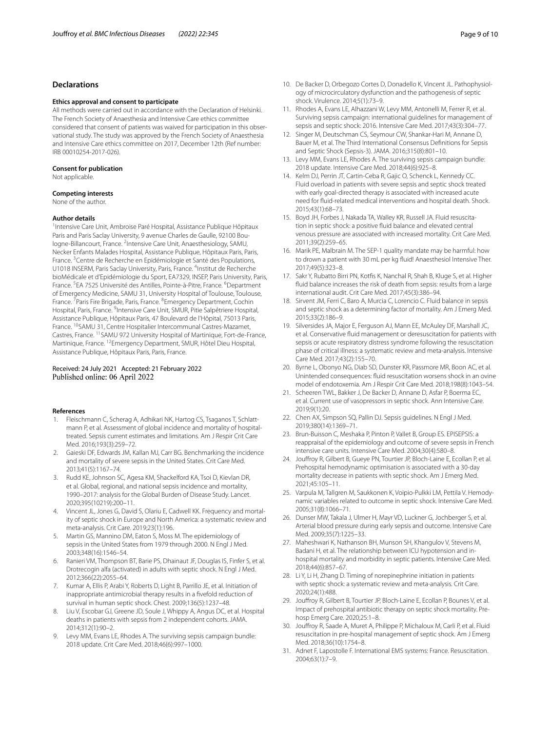#### **Declarations**

#### **Ethics approval and consent to participate**

All methods were carried out in accordance with the Declaration of Helsinki. The French Society of Anaesthesia and Intensive Care ethics committee considered that consent of patients was waived for participation in this observational study. The study was approved by the French Society of Anaesthesia and Intensive Care ethics committee on 2017, December 12th (Ref number: IRB 00010254-2017-026).

#### **Consent for publication**

Not applicable.

#### **Competing interests**

None of the author.

#### **Author details**

<sup>1</sup> Intensive Care Unit, Ambroise Paré Hospital, Assistance Publique Hôpitaux Paris and Paris Saclay University, 9 avenue Charles de Gaulle, 92100 Boulogne-Billancourt, France. <sup>2</sup>Intensive Care Unit, Anaesthesiology, SAMU, Necker Enfants Malades Hospital, Assistance Publique, Hôpitaux Paris, Paris, France.<sup>3</sup> Centre de Recherche en Epidémiologie et Santé des Populations, U1018 INSERM, Paris Saclay University, Paris, France. <sup>4</sup>Institut de Recherche bioMédicale et d'Epidémiologie du Sport, EA7329, INSEP, Paris University, Paris, France. <sup>5</sup>EA 7525 Université des Antilles, Pointe-à-Pitre, France. <sup>6</sup>Department of Emergency Medicine, SAMU 31, University Hospital of Toulouse, Toulouse, France. <sup>7</sup> Paris Fire Brigade, Paris, France. <sup>8</sup> Emergency Department, Cochin Hospital, Paris, France. <sup>9</sup>Intensive Care Unit, SMUR, Pitie Salpêtriere Hospital, Assistance Publique, Hôpitaux Paris, 47 Boulevard de l'Hôpital, 75013 Paris, France. 10SAMU 31, Centre Hospitalier Intercommunal Castres-Mazamet, Castres, France. <sup>11</sup>SAMU 972 University Hospital of Martinique, Fort-de-France, Martinique, France. 12Emergency Department, SMUR, Hôtel Dieu Hospital, Assistance Publique, Hôpitaux Paris, Paris, France.

#### Received: 24 July 2021 Accepted: 21 February 2022 Published online: 06 April 2022

#### **References**

- 1. Fleischmann C, Scherag A, Adhikari NK, Hartog CS, Tsaganos T, Schlattmann P, et al. Assessment of global incidence and mortality of hospitaltreated. Sepsis current estimates and limitations. Am J Respir Crit Care Med. 2016;193(3):259–72.
- 2. Gaieski DF, Edwards JM, Kallan MJ, Carr BG. Benchmarking the incidence and mortality of severe sepsis in the United States. Crit Care Med. 2013;41(5):1167–74.
- 3. Rudd KE, Johnson SC, Agesa KM, Shackelford KA, Tsoi D, Kievlan DR, et al. Global, regional, and national sepsis incidence and mortality, 1990–2017: analysis for the Global Burden of Disease Study. Lancet. 2020;395(10219):200–11.
- 4. Vincent JL, Jones G, David S, Olariu E, Cadwell KK. Frequency and mortality of septic shock in Europe and North America: a systematic review and meta-analysis. Crit Care. 2019;23(1):196.
- 5. Martin GS, Mannino DM, Eaton S, Moss M. The epidemiology of sepsis in the United States from 1979 through 2000. N Engl J Med. 2003;348(16):1546–54.
- Ranieri VM, Thompson BT, Barie PS, Dhainaut JF, Douglas IS, Finfer S, et al. Drotrecogin alfa (activated) in adults with septic shock. N Engl J Med. 2012;366(22):2055–64.
- 7. Kumar A, Ellis P, Arabi Y, Roberts D, Light B, Parrillo JE, et al. Initiation of inappropriate antimicrobial therapy results in a fvefold reduction of survival in human septic shock. Chest. 2009;136(5):1237–48.
- 8. Liu V, Escobar GJ, Greene JD, Soule J, Whippy A, Angus DC, et al. Hospital deaths in patients with sepsis from 2 independent cohorts. JAMA. 2014;312(1):90–2.
- 9. Levy MM, Evans LE, Rhodes A. The surviving sepsis campaign bundle: 2018 update. Crit Care Med. 2018;46(6):997–1000.
- 10. De Backer D, Orbegozo Cortes D, Donadello K, Vincent JL. Pathophysiology of microcirculatory dysfunction and the pathogenesis of septic shock. Virulence. 2014;5(1):73–9.
- 11. Rhodes A, Evans LE, Alhazzani W, Levy MM, Antonelli M, Ferrer R, et al. Surviving sepsis campaign: international guidelines for management of sepsis and septic shock: 2016. Intensive Care Med. 2017;43(3):304–77.
- 12. Singer M, Deutschman CS, Seymour CW, Shankar-Hari M, Annane D, Bauer M, et al. The Third International Consensus Defnitions for Sepsis and Septic Shock (Sepsis-3). JAMA. 2016;315(8):801–10.
- 13. Levy MM, Evans LE, Rhodes A. The surviving sepsis campaign bundle: 2018 update. Intensive Care Med. 2018;44(6):925–8.
- 14. Kelm DJ, Perrin JT, Cartin-Ceba R, Gajic O, Schenck L, Kennedy CC. Fluid overload in patients with severe sepsis and septic shock treated with early goal-directed therapy is associated with increased acute need for fuid-related medical interventions and hospital death. Shock. 2015;43(1):68–73.
- 15. Boyd JH, Forbes J, Nakada TA, Walley KR, Russell JA. Fluid resuscitation in septic shock: a positive fuid balance and elevated central venous pressure are associated with increased mortality. Crit Care Med. 2011;39(2):259–65.
- 16. Marik PE, Malbrain M. The SEP-1 quality mandate may be harmful: how to drown a patient with 30 mL per kg fuid! Anaesthesiol Intensive Ther. 2017;49(5):323–8.
- 17. Sakr Y, Rubatto Birri PN, Kotfs K, Nanchal R, Shah B, Kluge S, et al. Higher fuid balance increases the risk of death from sepsis: results from a large international audit. Crit Care Med. 2017;45(3):386–94.
- 18. Sirvent JM, Ferri C, Baro A, Murcia C, Lorencio C. Fluid balance in sepsis and septic shock as a determining factor of mortality. Am J Emerg Med. 2015;33(2):186–9.
- 19. Silversides JA, Major E, Ferguson AJ, Mann EE, McAuley DF, Marshall JC, et al. Conservative fuid management or deresuscitation for patients with sepsis or acute respiratory distress syndrome following the resuscitation phase of critical illness: a systematic review and meta-analysis. Intensive Care Med. 2017;43(2):155–70.
- 20. Byrne L, Obonyo NG, Diab SD, Dunster KR, Passmore MR, Boon AC, et al. Unintended consequences: fuid resuscitation worsens shock in an ovine model of endotoxemia. Am J Respir Crit Care Med. 2018;198(8):1043–54.
- 21. Scheeren TWL, Bakker J, De Backer D, Annane D, Asfar P, Boerma EC, et al. Current use of vasopressors in septic shock. Ann Intensive Care. 2019;9(1):20.
- 22. Chen AX, Simpson SQ, Pallin DJ. Sepsis guidelines. N Engl J Med. 2019;380(14):1369–71.
- 23. Brun-Buisson C, Meshaka P, Pinton P, Vallet B, Group ES. EPISEPSIS: a reappraisal of the epidemiology and outcome of severe sepsis in French intensive care units. Intensive Care Med. 2004;30(4):580–8.
- 24. Joufroy R, Gilbert B, Gueye PN, Tourtier JP, Bloch-Laine E, Ecollan P, et al. Prehospital hemodynamic optimisation is associated with a 30-day mortality decrease in patients with septic shock. Am J Emerg Med. 2021;45:105–11.
- 25. Varpula M, Tallgren M, Saukkonen K, Voipio-Pulkki LM, Pettila V. Hemodynamic variables related to outcome in septic shock. Intensive Care Med. 2005;31(8):1066–71.
- 26. Dunser MW, Takala J, Ulmer H, Mayr VD, Luckner G, Jochberger S, et al. Arterial blood pressure during early sepsis and outcome. Intensive Care Med. 2009;35(7):1225–33.
- 27. Maheshwari K, Nathanson BH, Munson SH, Khangulov V, Stevens M, Badani H, et al. The relationship between ICU hypotension and inhospital mortality and morbidity in septic patients. Intensive Care Med. 2018;44(6):857–67.
- 28. Li Y, Li H, Zhang D. Timing of norepinephrine initiation in patients with septic shock: a systematic review and meta-analysis. Crit Care. 2020;24(1):488.
- 29. Joufroy R, Gilbert B, Tourtier JP, Bloch-Laine E, Ecollan P, Bounes V, et al. Impact of prehospital antibiotic therapy on septic shock mortality. Prehosp Emerg Care. 2020;25:1–8.
- 30. Joufroy R, Saade A, Muret A, Philippe P, Michaloux M, Carli P, et al. Fluid resuscitation in pre-hospital management of septic shock. Am J Emerg Med. 2018;36(10):1754–8.
- 31. Adnet F, Lapostolle F. International EMS systems: France. Resuscitation. 2004;63(1):7–9.